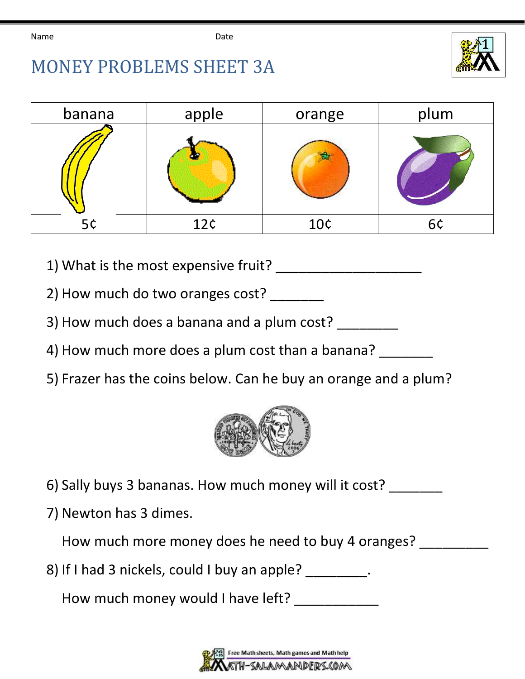

## MONEY PROBLEMS SHEET 3A

| banana | apple | orange | plum |
|--------|-------|--------|------|
|        |       |        |      |
| 5¢     | 12c   | 10¢    | 6¢   |

- 1) What is the most expensive fruit?
- 2) How much do two oranges cost?
- 3) How much does a banana and a plum cost?
- 4) How much more does a plum cost than a banana? \_\_\_\_\_\_\_
- 5) Frazer has the coins below. Can he buy an orange and a plum?



- 6) Sally buys 3 bananas. How much money will it cost?
- 7) Newton has 3 dimes.

How much more money does he need to buy 4 oranges?

8) If I had 3 nickels, could I buy an apple? \_\_\_\_\_\_\_\_\_.

How much money would I have left?

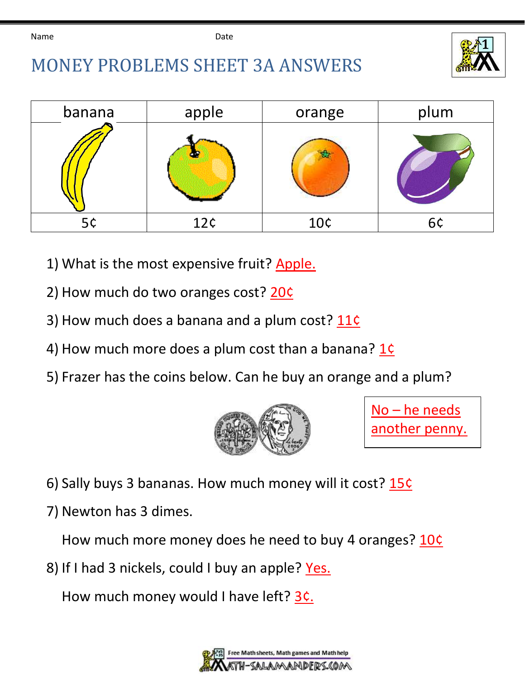

## MONEY PROBLEMS SHEET 3A ANSWERS

| banana | apple | orange | plum |
|--------|-------|--------|------|
|        |       |        |      |
| 5¢     | 12¢   | 10¢    | 6¢   |

- 1) What is the most expensive fruit? Apple.
- 2) How much do two oranges cost? 20¢
- 3) How much does a banana and a plum cost? 11¢
- 4) How much more does a plum cost than a banana? 1¢
- 5) Frazer has the coins below. Can he buy an orange and a plum?



No – he needs another penny.

- 6) Sally buys 3 bananas. How much money will it cost? 15¢
- 7) Newton has 3 dimes.

How much more money does he need to buy 4 oranges? 10¢

8) If I had 3 nickels, could I buy an apple? Yes.

How much money would I have left? 3c.

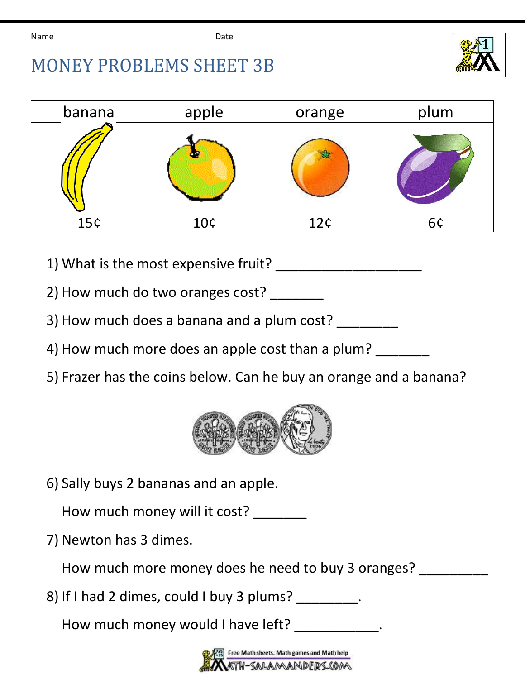



| banana | apple | orange | plum |
|--------|-------|--------|------|
|        |       |        |      |
| 15C    | 10¢   | 12c    | 6¢   |

- 1) What is the most expensive fruit?
- 2) How much do two oranges cost?
- 3) How much does a banana and a plum cost?
- 4) How much more does an apple cost than a plum?
- 5) Frazer has the coins below. Can he buy an orange and a banana?



6) Sally buys 2 bananas and an apple.

How much money will it cost? \_\_\_\_\_\_\_

7) Newton has 3 dimes.

How much more money does he need to buy 3 oranges?

8) If I had 2 dimes, could I buy 3 plums?

How much money would I have left?

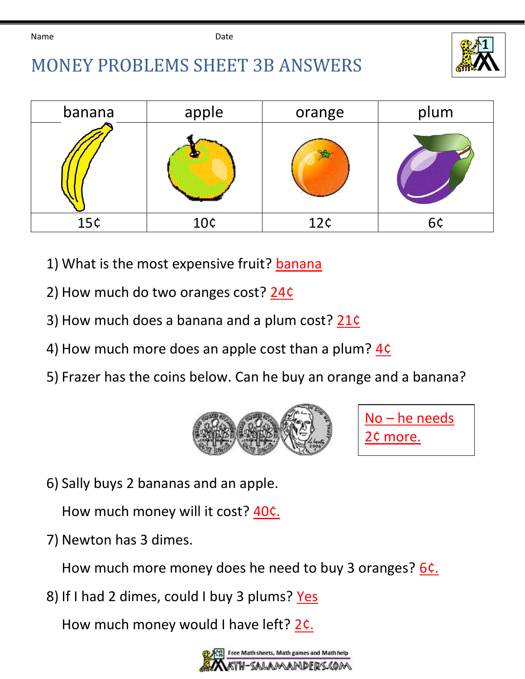

## MONEY PROBLEMS SHEET 3B ANSWERS

| banana | apple | orange | plum |
|--------|-------|--------|------|
|        |       |        |      |
| 15c    | 10¢   | 12c    | 6¢   |

- 1) What is the most expensive fruit? banana
- 2) How much do two oranges cost? 24¢
- 3) How much does a banana and a plum cost? 21¢
- 4) How much more does an apple cost than a plum? 4¢
- 5) Frazer has the coins below. Can he buy an orange and a banana?





6) Sally buys 2 bananas and an apple.

How much money will it cost? 40c.

7) Newton has 3 dimes.

How much more money does he need to buy 3 oranges? 6c.

8) If I had 2 dimes, could I buy 3 plums? Yes

How much money would I have left? 2c.

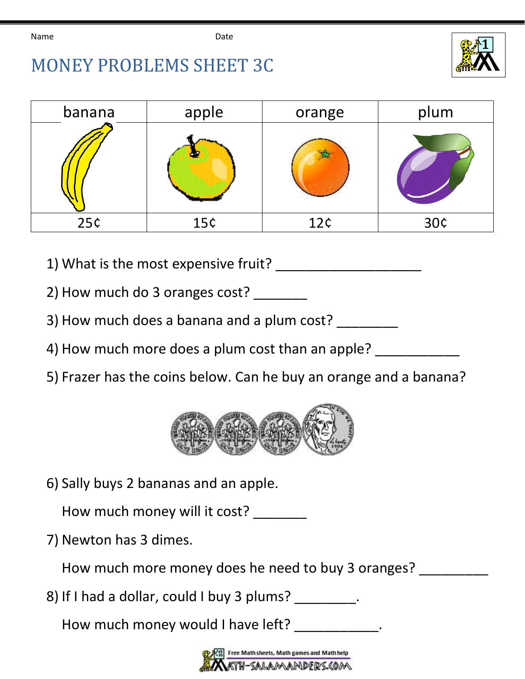



| banana | apple | orange | plum |
|--------|-------|--------|------|
|        |       |        |      |
| 25c    | 15c   | 12c    | 30¢  |

- 1) What is the most expensive fruit?
- 2) How much do 3 oranges cost?
- 3) How much does a banana and a plum cost? \_\_\_\_\_\_\_\_
- 4) How much more does a plum cost than an apple?
- 5) Frazer has the coins below. Can he buy an orange and a banana?



6) Sally buys 2 bananas and an apple.

How much money will it cost? \_\_\_\_\_\_\_

7) Newton has 3 dimes.

How much more money does he need to buy 3 oranges?

8) If I had a dollar, could I buy 3 plums? \_\_\_\_\_\_\_\_.

How much money would I have left? \_\_\_\_\_\_\_\_\_\_\_.